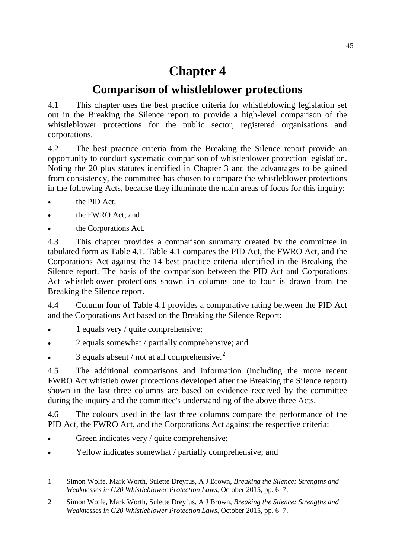## **Chapter 4**

## **Comparison of whistleblower protections**

4.1 This chapter uses the best practice criteria for whistleblowing legislation set out in the Breaking the Silence report to provide a high-level comparison of the whistleblower protections for the public sector, registered organisations and corporations.<sup>[1](#page-0-0)</sup>

4.2 The best practice criteria from the Breaking the Silence report provide an opportunity to conduct systematic comparison of whistleblower protection legislation. Noting the 20 plus statutes identified in Chapter 3 and the advantages to be gained from consistency, the committee has chosen to compare the whistleblower protections in the following Acts, because they illuminate the main areas of focus for this inquiry:

the PID Act;

-

- the FWRO Act; and
- the Corporations Act.

4.3 This chapter provides a comparison summary created by the committee in tabulated form as Table 4.1. Table 4.1 compares the PID Act, the FWRO Act, and the Corporations Act against the 14 best practice criteria identified in the Breaking the Silence report. The basis of the comparison between the PID Act and Corporations Act whistleblower protections shown in columns one to four is drawn from the Breaking the Silence report.

4.4 Column four of Table 4.1 provides a comparative rating between the PID Act and the Corporations Act based on the Breaking the Silence Report:

- 1 equals very / quite comprehensive;
- 2 equals somewhat / partially comprehensive; and
- 3 equals absent / not at all comprehensive. $<sup>2</sup>$  $<sup>2</sup>$  $<sup>2</sup>$ </sup>

4.5 The additional comparisons and information (including the more recent FWRO Act whistleblower protections developed after the Breaking the Silence report) shown in the last three columns are based on evidence received by the committee during the inquiry and the committee's understanding of the above three Acts.

4.6 The colours used in the last three columns compare the performance of the PID Act, the FWRO Act, and the Corporations Act against the respective criteria:

- Green indicates very / quite comprehensive;
- Yellow indicates somewhat / partially comprehensive; and

<span id="page-0-0"></span><sup>1</sup> Simon Wolfe, Mark Worth, Sulette Dreyfus, A J Brown, *Breaking the Silence: Strengths and Weaknesses in G20 Whistleblower Protection Laws*, October 2015, pp. 6–7.

<span id="page-0-1"></span><sup>2</sup> Simon Wolfe, Mark Worth, Sulette Dreyfus, A J Brown, *Breaking the Silence: Strengths and Weaknesses in G20 Whistleblower Protection Laws*, October 2015, pp. 6–7.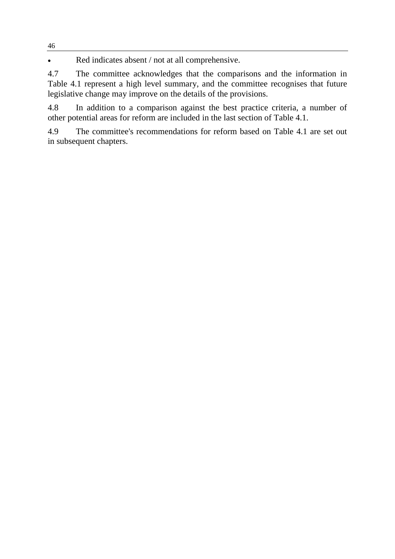• Red indicates absent / not at all comprehensive.

4.7 The committee acknowledges that the comparisons and the information in Table 4.1 represent a high level summary, and the committee recognises that future legislative change may improve on the details of the provisions.

4.8 In addition to a comparison against the best practice criteria, a number of other potential areas for reform are included in the last section of Table 4.1.

4.9 The committee's recommendations for reform based on Table 4.1 are set out in subsequent chapters.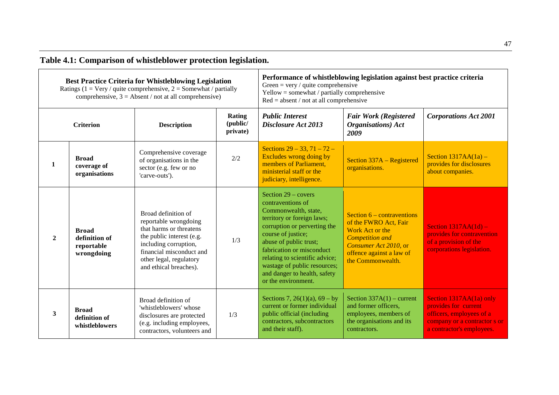| <b>Best Practice Criteria for Whistleblowing Legislation</b><br>Ratings (1 = Very / quite comprehensive, 2 = Somewhat / partially<br>comprehensive, $3 =$ Absent / not at all comprehensive) |                                                           |                                                                                                                                                                                                                | Performance of whistleblowing legislation against best practice criteria<br>Green = $very / quite comprehensive$<br>$Y$ ellow = somewhat / partially comprehensive<br>$Red = absent / not at all comprehensive$ |                                                                                                                                                                                                                                                                                                                                               |                                                                                                                                                                              |                                                                                                                                          |
|----------------------------------------------------------------------------------------------------------------------------------------------------------------------------------------------|-----------------------------------------------------------|----------------------------------------------------------------------------------------------------------------------------------------------------------------------------------------------------------------|-----------------------------------------------------------------------------------------------------------------------------------------------------------------------------------------------------------------|-----------------------------------------------------------------------------------------------------------------------------------------------------------------------------------------------------------------------------------------------------------------------------------------------------------------------------------------------|------------------------------------------------------------------------------------------------------------------------------------------------------------------------------|------------------------------------------------------------------------------------------------------------------------------------------|
| Rating<br>(public/<br><b>Criterion</b><br><b>Description</b><br>private)                                                                                                                     |                                                           |                                                                                                                                                                                                                | <b>Public Interest</b><br><b>Disclosure Act 2013</b>                                                                                                                                                            | <b>Fair Work (Registered</b><br><b>Organisations</b> ) Act<br>2009                                                                                                                                                                                                                                                                            | <b>Corporations Act 2001</b>                                                                                                                                                 |                                                                                                                                          |
| 1                                                                                                                                                                                            | <b>Broad</b><br>coverage of<br>organisations              | Comprehensive coverage<br>of organisations in the<br>sector (e.g. few or no<br>'carve-outs').                                                                                                                  | 2/2                                                                                                                                                                                                             | Sections $29 - 33$ , $71 - 72 -$<br>Excludes wrong doing by<br>members of Parliament,<br>ministerial staff or the<br>judiciary, intelligence.                                                                                                                                                                                                 | Section 337A – Registered<br>organisations.                                                                                                                                  | Section $1317AA(1a)$ –<br>provides for disclosures<br>about companies.                                                                   |
| $\overline{2}$                                                                                                                                                                               | <b>Broad</b><br>definition of<br>reportable<br>wrongdoing | Broad definition of<br>reportable wrongdoing<br>that harms or threatens<br>the public interest (e.g.<br>including corruption,<br>financial misconduct and<br>other legal, regulatory<br>and ethical breaches). | 1/3                                                                                                                                                                                                             | Section $29 - \text{covers}$<br>contraventions of<br>Commonwealth, state,<br>territory or foreign laws;<br>corruption or perverting the<br>course of justice;<br>abuse of public trust;<br>fabrication or misconduct<br>relating to scientific advice;<br>wastage of public resources;<br>and danger to health, safety<br>or the environment. | Section $6$ – contraventions<br>of the FWRO Act, Fair<br>Work Act or the<br><b>Competition and</b><br>Consumer Act 2010, or<br>offence against a law of<br>the Commonwealth. | Section $1317AA(1d)$ –<br>provides for contravention<br>of a provision of the<br>corporations legislation.                               |
| 3                                                                                                                                                                                            | <b>Broad</b><br>definition of<br>whistleblowers           | Broad definition of<br>'whistleblowers' whose<br>disclosures are protected<br>(e.g. including employees,<br>contractors, volunteers and                                                                        | 1/3                                                                                                                                                                                                             | Sections 7, 26(1)(a), 69 – by<br>current or former individual<br>public official (including<br>contractors, subcontractors<br>and their staff).                                                                                                                                                                                               | Section $337A(1)$ – current<br>and former officers,<br>employees, members of<br>the organisations and its<br>contractors.                                                    | Section 1317AA(1a) only<br>provides for current<br>officers, employees of a<br>company or a contractor s or<br>a contractor's employees. |

## **Table 4.1: Comparison of whistleblower protection legislation.**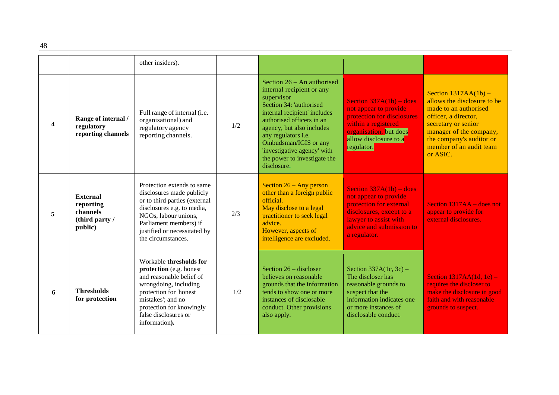| ×<br>۰, |
|---------|
|---------|

|   |                                                                       | other insiders).                                                                                                                                                                                                               |     |                                                                                                                                                                                                                                                                                                                            |                                                                                                                                                                                |                                                                                                                                                                                                                             |
|---|-----------------------------------------------------------------------|--------------------------------------------------------------------------------------------------------------------------------------------------------------------------------------------------------------------------------|-----|----------------------------------------------------------------------------------------------------------------------------------------------------------------------------------------------------------------------------------------------------------------------------------------------------------------------------|--------------------------------------------------------------------------------------------------------------------------------------------------------------------------------|-----------------------------------------------------------------------------------------------------------------------------------------------------------------------------------------------------------------------------|
| 4 | Range of internal /<br>regulatory<br>reporting channels               | Full range of internal (i.e.<br>organisational) and<br>regulatory agency<br>reporting channels.                                                                                                                                | 1/2 | Section $26 - An$ authorised<br>internal recipient or any<br>supervisor<br>Section 34: 'authorised<br>internal recipient' includes<br>authorised officers in an<br>agency, but also includes<br>any regulators i.e.<br>Ombudsman/IGIS or any<br>'investigative agency' with<br>the power to investigate the<br>disclosure. | Section $337A(1b)$ – does<br>not appear to provide<br>protection for disclosures<br>within a registered<br>organisation, but does<br>allow disclosure to a<br>regulator.       | Section $1317AA(1b)$ –<br>allows the disclosure to be<br>made to an authorised<br>officer, a director,<br>secretary or senior<br>manager of the company,<br>the company's auditor or<br>member of an audit team<br>or ASIC. |
| 5 | <b>External</b><br>reporting<br>channels<br>(third party /<br>public) | Protection extends to same<br>disclosures made publicly<br>or to third parties (external<br>disclosures e.g. to media,<br>NGOs, labour unions,<br>Parliament members) if<br>justified or necessitated by<br>the circumstances. | 2/3 | Section $26 - Any person$<br>other than a foreign public<br>official.<br>May disclose to a legal<br>practitioner to seek legal<br>advice.<br>However, aspects of<br>intelligence are excluded.                                                                                                                             | Section $337A(1b) -$ does<br>not appear to provide<br>protection for external<br>disclosures, except to a<br>lawyer to assist with<br>advice and submission to<br>a regulator. | Section 1317AA – does not<br>appear to provide for<br>external disclosures.                                                                                                                                                 |
| 6 | <b>Thresholds</b><br>for protection                                   | Workable thresholds for<br>protection (e.g. honest<br>and reasonable belief of<br>wrongdoing, including<br>protection for 'honest<br>mistakes'; and no<br>protection for knowingly<br>false disclosures or<br>information).    | 1/2 | Section $26 -$ discloser<br>believes on reasonable<br>grounds that the information<br>tends to show one or more<br>instances of disclosable<br>conduct. Other provisions<br>also apply.                                                                                                                                    | Section $337A(1c, 3c)$ –<br>The discloser has<br>reasonable grounds to<br>suspect that the<br>information indicates one<br>or more instances of<br>disclosable conduct.        | Section $1317AA(1d, 1e)$ –<br>requires the discloser to<br>make the disclosure in good<br>faith and with reasonable<br>grounds to suspect.                                                                                  |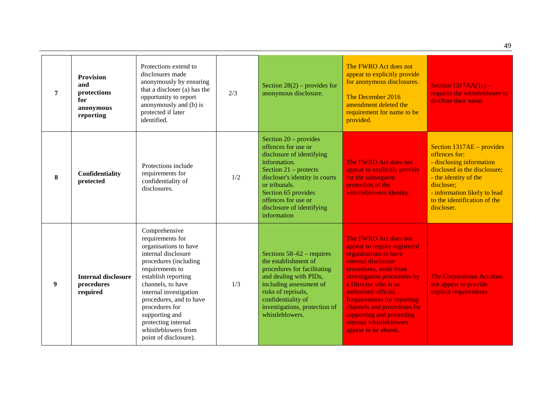| 7 | <b>Provision</b><br>and<br>protections<br>for<br>anonymous<br>reporting | Protections extend to<br>disclosures made<br>anonymously by ensuring<br>that a discloser (a) has the<br>opportunity to report<br>anonymously and (b) is<br>protected if later<br>identified.                                                                                                                                              | 2/3 | Section $28(2)$ – provides for<br>anonymous disclosure.                                                                                                                                                                                                             | The FWRO Act does not<br>appear to explicitly provide<br>for anonymous disclosures.<br>The December 2016<br>amendment deleted the<br>requirement for name to be<br>provided.                                                                                                                                                                                       | Section $1317AA(1c)$ –<br>requires the whistleblower to<br>disclose their name.                                                                                                                                               |
|---|-------------------------------------------------------------------------|-------------------------------------------------------------------------------------------------------------------------------------------------------------------------------------------------------------------------------------------------------------------------------------------------------------------------------------------|-----|---------------------------------------------------------------------------------------------------------------------------------------------------------------------------------------------------------------------------------------------------------------------|--------------------------------------------------------------------------------------------------------------------------------------------------------------------------------------------------------------------------------------------------------------------------------------------------------------------------------------------------------------------|-------------------------------------------------------------------------------------------------------------------------------------------------------------------------------------------------------------------------------|
| 8 | Confidentiality<br>protected                                            | Protections include<br>requirements for<br>confidentiality of<br>disclosures.                                                                                                                                                                                                                                                             | 1/2 | Section $20$ – provides<br>offences for use or<br>disclosure of identifying<br>information.<br>Section $21$ – protects<br>discloser's identity in courts<br>or tribunals.<br>Section 65 provides<br>offences for use or<br>disclosure of identifying<br>information | The FWRO Act does not<br>appear to explicitly provide<br>for the subsequent<br>protection of the<br>whistleblowers identity.                                                                                                                                                                                                                                       | Section $1317AE -$ provides<br>offences for:<br>- disclosing information<br>disclosed in the disclosure;<br>- the identity of the<br>discloser;<br>- information likely to lead<br>to the identification of the<br>discloser. |
| 9 | <b>Internal disclosure</b><br>procedures<br>required                    | Comprehensive<br>requirements for<br>organisations to have<br>internal disclosure<br>procedures (including<br>requirements to<br>establish reporting<br>channels, to have<br>internal investigation<br>procedures, and to have<br>procedures for<br>supporting and<br>protecting internal<br>whistleblowers from<br>point of disclosure). | 1/3 | Sections $58-62$ – requires<br>the establishment of<br>procedures for facilitating<br>and dealing with PIDs,<br>including assessment of<br>risks of reprisals,<br>confidentiality of<br>investigations, protection of<br>whistleblowers.                            | The FWRO Act does not<br>appear to require registered<br>organisations to have<br>internal disclosure<br>procedures, aside from<br>investigation procedures by<br>a Director who is an<br>authorised official.<br><b>Requirements for reporting</b><br>channels and procedures for<br>supporting and protecting<br>internal whistleblowers<br>appear to be absent. | <b>The Corporations Act does</b><br>not appear to provide<br>explicit requirements.                                                                                                                                           |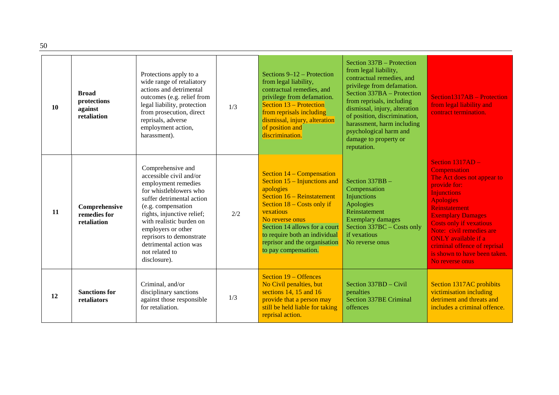| 10        | <b>Broad</b><br>protections<br>against<br>retaliation | Protections apply to a<br>wide range of retaliatory<br>actions and detrimental<br>outcomes (e.g. relief from<br>legal liability, protection<br>from prosecution, direct<br>reprisals, adverse<br>employment action,<br>harassment).                                                                                      | 1/3 | Sections $9-12$ – Protection<br>from legal liability,<br>contractual remedies, and<br>privilege from defamation.<br>Section 13 – Protection<br>from reprisals including<br>dismissal, injury, alteration<br>of position and<br>discrimination.                                                           | Section 337B – Protection<br>from legal liability,<br>contractual remedies, and<br>privilege from defamation.<br>Section 337BA – Protection<br>from reprisals, including<br>dismissal, injury, alteration<br>of position, discrimination,<br>harassment, harm including<br>psychological harm and<br>damage to property or<br>reputation. | Section1317AB - Protection<br>from legal liability and<br>contract termination.                                                                                                                                                                                                                                                                                      |
|-----------|-------------------------------------------------------|--------------------------------------------------------------------------------------------------------------------------------------------------------------------------------------------------------------------------------------------------------------------------------------------------------------------------|-----|----------------------------------------------------------------------------------------------------------------------------------------------------------------------------------------------------------------------------------------------------------------------------------------------------------|-------------------------------------------------------------------------------------------------------------------------------------------------------------------------------------------------------------------------------------------------------------------------------------------------------------------------------------------|----------------------------------------------------------------------------------------------------------------------------------------------------------------------------------------------------------------------------------------------------------------------------------------------------------------------------------------------------------------------|
| <b>11</b> | Comprehensive<br>remedies for<br>retaliation          | Comprehensive and<br>accessible civil and/or<br>employment remedies<br>for whistleblowers who<br>suffer detrimental action<br>(e.g. compensation<br>rights, injunctive relief;<br>with realistic burden on<br>employers or other<br>reprisors to demonstrate<br>detrimental action was<br>not related to<br>disclosure). | 2/2 | Section 14 – Compensation<br>Section $15$ – Injunctions and<br>apologies<br>Section 16 – Reinstatement<br>Section $18 - \text{Costs}$ only if<br>vexatious<br>No reverse onus<br>Section 14 allows for a court<br>to require both an individual<br>reprisor and the organisation<br>to pay compensation. | Section $337BB -$<br>Compensation<br><b>Injunctions</b><br>Apologies<br>Reinstatement<br><b>Exemplary damages</b><br>Section 337BC - Costs only<br>if vexatious<br>No reverse onus                                                                                                                                                        | Section $1317AD -$<br><b>Compensation</b><br>The Act does not appear to<br>provide for:<br><b>Injunctions</b><br><b>Apologies</b><br><b>Reinstatement</b><br><b>Exemplary Damages</b><br><b>Costs only if vexatious</b><br>Note: civil remedies are<br><b>ONLY</b> available if a<br>criminal offence of reprisal<br>is shown to have been taken.<br>No reverse onus |
| 12        | <b>Sanctions for</b><br>retaliators                   | Criminal, and/or<br>disciplinary sanctions<br>against those responsible<br>for retaliation.                                                                                                                                                                                                                              | 1/3 | Section 19 – Offences<br>No Civil penalties, but<br>sections 14, 15 and $16$<br>provide that a person may<br>still be held liable for taking<br>reprisal action.                                                                                                                                         | Section 337BD - Civil<br>penalties<br><b>Section 337BE Criminal</b><br>offences                                                                                                                                                                                                                                                           | Section 1317AC prohibits<br>victimisation including<br>detriment and threats and<br>includes a criminal offence.                                                                                                                                                                                                                                                     |

50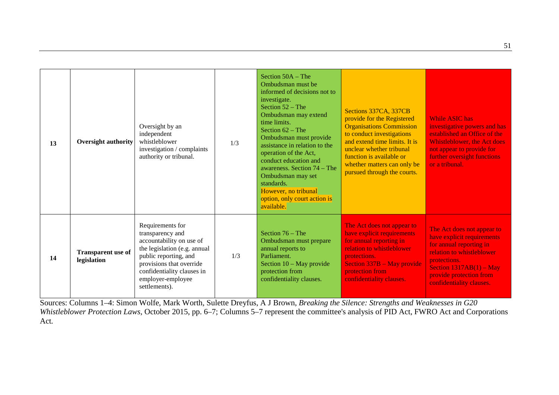| 13 | <b>Oversight authority</b>               | Oversight by an<br>independent<br>whistleblower<br>investigation / complaints<br>authority or tribunal.                                                                                                                   | 1/3 | Section 50A – The<br>Ombudsman must be<br>informed of decisions not to<br>investigate.<br>Section $52$ – The<br>Ombudsman may extend<br>time limits.<br>Section $62 - The$<br>Ombudsman must provide<br>assistance in relation to the<br>operation of the Act,<br>conduct education and<br>awareness. Section 74 – The<br>Ombudsman may set<br>standards.<br>However, no tribunal<br>option, only court action is<br>available. | Sections 337CA, 337CB<br>provide for the Registered<br><b>Organisations Commission</b><br>to conduct investigations<br>and extend time limits. It is<br>unclear whether tribunal<br>function is available or<br>whether matters can only be<br>pursued through the courts. | <b>While ASIC has</b><br>investigative powers and has<br>established an Office of the<br>Whistleblower, the Act does<br>not appear to provide for<br>further oversight functions<br>or a tribunal.                   |
|----|------------------------------------------|---------------------------------------------------------------------------------------------------------------------------------------------------------------------------------------------------------------------------|-----|---------------------------------------------------------------------------------------------------------------------------------------------------------------------------------------------------------------------------------------------------------------------------------------------------------------------------------------------------------------------------------------------------------------------------------|----------------------------------------------------------------------------------------------------------------------------------------------------------------------------------------------------------------------------------------------------------------------------|----------------------------------------------------------------------------------------------------------------------------------------------------------------------------------------------------------------------|
| 14 | <b>Transparent use of</b><br>legislation | Requirements for<br>transparency and<br>accountability on use of<br>the legislation (e.g. annual<br>public reporting, and<br>provisions that override<br>confidentiality clauses in<br>employer-employee<br>settlements). | 1/3 | Section $76 - The$<br>Ombudsman must prepare<br>annual reports to<br>Parliament.<br>Section 10 - May provide<br>protection from<br>confidentiality clauses.                                                                                                                                                                                                                                                                     | The Act does not appear to<br>have explicit requirements<br>for annual reporting in<br>relation to whistleblower<br>protections.<br>Section 337B – May provide<br>protection from<br>confidentiality clauses.                                                              | The Act does not appear to<br>have explicit requirements<br>for annual reporting in<br>relation to whistleblower<br>protections.<br>Section $1317AB(1) - May$<br>provide protection from<br>confidentiality clauses. |

Sources: Columns 1–4: Simon Wolfe, Mark Worth, Sulette Dreyfus, A J Brown, *Breaking the Silence: Strengths and Weaknesses in G20 Whistleblower Protection Laws,* October 2015, pp. 6–7; Columns 5–7 represent the committee's analysis of PID Act, FWRO Act and Corporations Act*.*